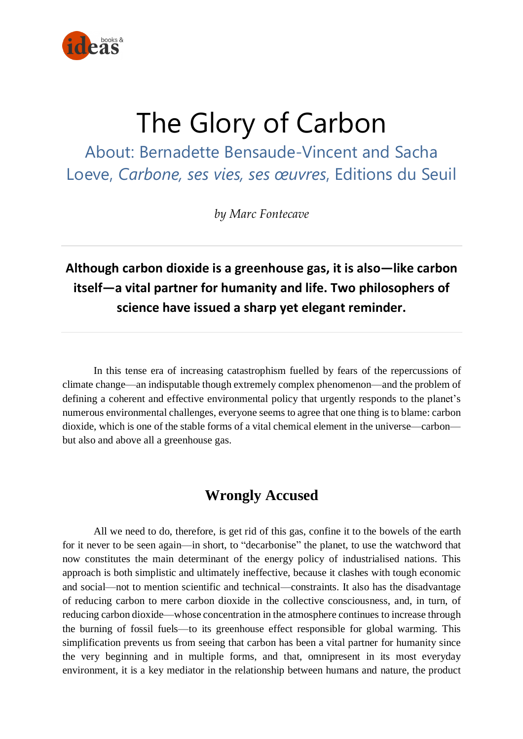

# The Glory of Carbon

About: Bernadette Bensaude-Vincent and Sacha Loeve, *Carbone, ses vies, ses œuvres*, Editions du Seuil

*by Marc Fontecave*

## **Although carbon dioxide is a greenhouse gas, it is also—like carbon itself—a vital partner for humanity and life. Two philosophers of science have issued a sharp yet elegant reminder.**

In this tense era of increasing catastrophism fuelled by fears of the repercussions of climate change—an indisputable though extremely complex phenomenon—and the problem of defining a coherent and effective environmental policy that urgently responds to the planet's numerous environmental challenges, everyone seems to agree that one thing is to blame: carbon dioxide, which is one of the stable forms of a vital chemical element in the universe—carbon but also and above all a greenhouse gas.

## **Wrongly Accused**

All we need to do, therefore, is get rid of this gas, confine it to the bowels of the earth for it never to be seen again—in short, to "decarbonise" the planet, to use the watchword that now constitutes the main determinant of the energy policy of industrialised nations. This approach is both simplistic and ultimately ineffective, because it clashes with tough economic and social—not to mention scientific and technical—constraints. It also has the disadvantage of reducing carbon to mere carbon dioxide in the collective consciousness, and, in turn, of reducing carbon dioxide—whose concentration in the atmosphere continues to increase through the burning of fossil fuels—to its greenhouse effect responsible for global warming. This simplification prevents us from seeing that carbon has been a vital partner for humanity since the very beginning and in multiple forms, and that, omnipresent in its most everyday environment, it is a key mediator in the relationship between humans and nature, the product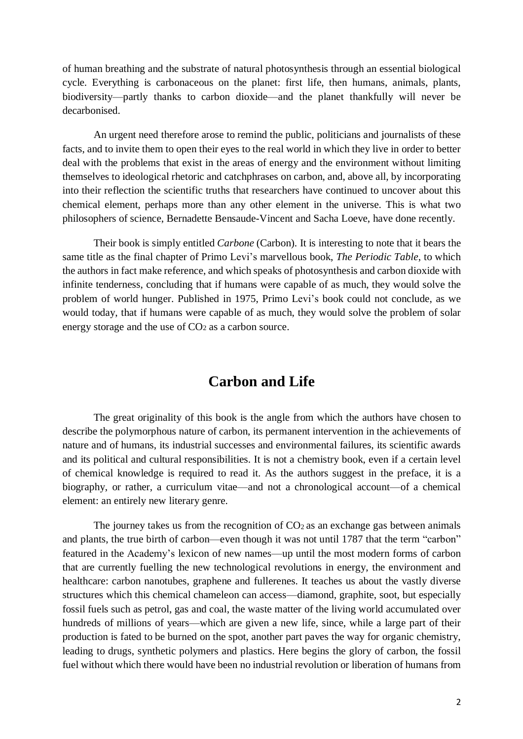of human breathing and the substrate of natural photosynthesis through an essential biological cycle. Everything is carbonaceous on the planet: first life, then humans, animals, plants, biodiversity—partly thanks to carbon dioxide—and the planet thankfully will never be decarbonised.

An urgent need therefore arose to remind the public, politicians and journalists of these facts, and to invite them to open their eyes to the real world in which they live in order to better deal with the problems that exist in the areas of energy and the environment without limiting themselves to ideological rhetoric and catchphrases on carbon, and, above all, by incorporating into their reflection the scientific truths that researchers have continued to uncover about this chemical element, perhaps more than any other element in the universe. This is what two philosophers of science, Bernadette Bensaude-Vincent and Sacha Loeve, have done recently.

Their book is simply entitled *Carbone* (Carbon). It is interesting to note that it bears the same title as the final chapter of Primo Levi's marvellous book, *The Periodic Table*, to which the authors in fact make reference, and which speaks of photosynthesis and carbon dioxide with infinite tenderness, concluding that if humans were capable of as much, they would solve the problem of world hunger. Published in 1975, Primo Levi's book could not conclude, as we would today, that if humans were capable of as much, they would solve the problem of solar energy storage and the use of  $CO<sub>2</sub>$  as a carbon source.

### **Carbon and Life**

The great originality of this book is the angle from which the authors have chosen to describe the polymorphous nature of carbon, its permanent intervention in the achievements of nature and of humans, its industrial successes and environmental failures, its scientific awards and its political and cultural responsibilities. It is not a chemistry book, even if a certain level of chemical knowledge is required to read it. As the authors suggest in the preface, it is a biography, or rather, a curriculum vitae—and not a chronological account—of a chemical element: an entirely new literary genre.

The journey takes us from the recognition of  $CO<sub>2</sub>$  as an exchange gas between animals and plants, the true birth of carbon—even though it was not until 1787 that the term "carbon" featured in the Academy's lexicon of new names—up until the most modern forms of carbon that are currently fuelling the new technological revolutions in energy, the environment and healthcare: carbon nanotubes, graphene and fullerenes. It teaches us about the vastly diverse structures which this chemical chameleon can access—diamond, graphite, soot, but especially fossil fuels such as petrol, gas and coal, the waste matter of the living world accumulated over hundreds of millions of years—which are given a new life, since, while a large part of their production is fated to be burned on the spot, another part paves the way for organic chemistry, leading to drugs, synthetic polymers and plastics. Here begins the glory of carbon, the fossil fuel without which there would have been no industrial revolution or liberation of humans from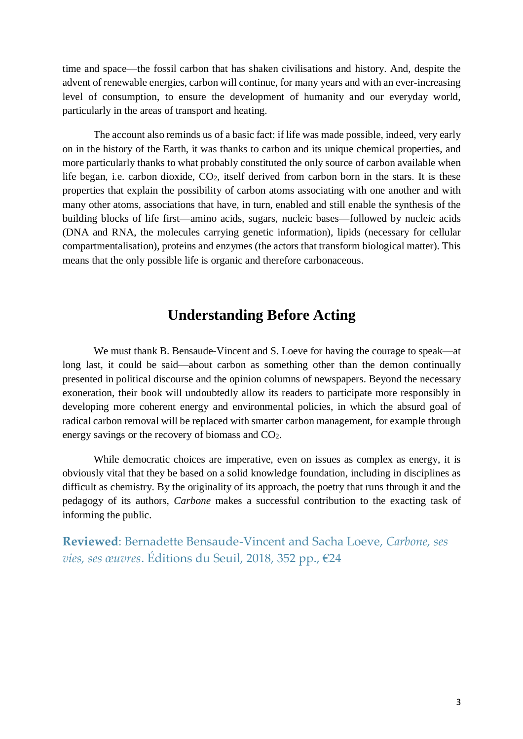time and space—the fossil carbon that has shaken civilisations and history. And, despite the advent of renewable energies, carbon will continue, for many years and with an ever-increasing level of consumption, to ensure the development of humanity and our everyday world, particularly in the areas of transport and heating.

The account also reminds us of a basic fact: if life was made possible, indeed, very early on in the history of the Earth, it was thanks to carbon and its unique chemical properties, and more particularly thanks to what probably constituted the only source of carbon available when life began, i.e. carbon dioxide, CO<sub>2</sub>, itself derived from carbon born in the stars. It is these properties that explain the possibility of carbon atoms associating with one another and with many other atoms, associations that have, in turn, enabled and still enable the synthesis of the building blocks of life first—amino acids, sugars, nucleic bases—followed by nucleic acids (DNA and RNA, the molecules carrying genetic information), lipids (necessary for cellular compartmentalisation), proteins and enzymes (the actors that transform biological matter). This means that the only possible life is organic and therefore carbonaceous.

#### **Understanding Before Acting**

We must thank B. Bensaude-Vincent and S. Loeve for having the courage to speak—at long last, it could be said—about carbon as something other than the demon continually presented in political discourse and the opinion columns of newspapers. Beyond the necessary exoneration, their book will undoubtedly allow its readers to participate more responsibly in developing more coherent energy and environmental policies, in which the absurd goal of radical carbon removal will be replaced with smarter carbon management, for example through energy savings or the recovery of biomass and CO2.

While democratic choices are imperative, even on issues as complex as energy, it is obviously vital that they be based on a solid knowledge foundation, including in disciplines as difficult as chemistry. By the originality of its approach, the poetry that runs through it and the pedagogy of its authors, *Carbone* makes a successful contribution to the exacting task of informing the public.

**Reviewed**: Bernadette Bensaude-Vincent and Sacha Loeve, *Carbone, ses vies, ses œuvres*. Éditions du Seuil, 2018, 352 pp., €24